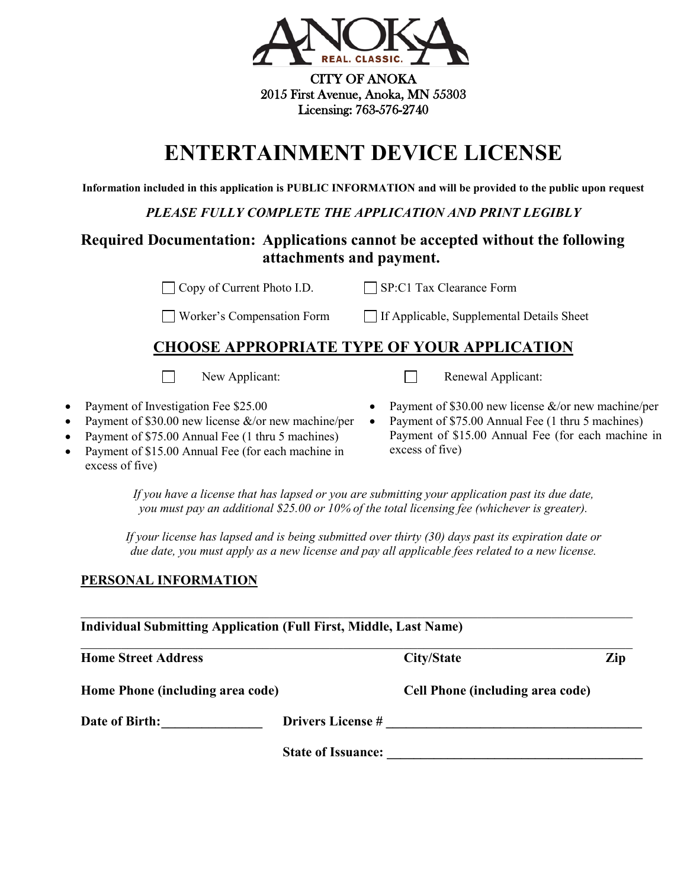

CITY OF ANOKA 2015 First Avenue, Anoka, MN 55303 Licensing: 763-576-2740

# **ENTERTAINMENT DEVICE LICENSE**

**Information included in this application is PUBLIC INFORMATION and will be provided to the public upon request**

*PLEASE FULLY COMPLETE THE APPLICATION AND PRINT LEGIBLY*

## **Required Documentation: Applications cannot be accepted without the following attachments and payment.**

□ Copy of Current Photo I.D. SP:C1 Tax Clearance Form

 $\Box$  Worker's Compensation Form  $\Box$  If Applicable, Supplemental Details Sheet

# **CHOOSE APPROPRIATE TYPE OF YOUR APPLICATION**

 $\Box$ New Applicant: Renewal Applicant:

- Payment of Investigation Fee \$25.00
- Payment of \$30.00 new license  $\&$ /or new machine/per
- Payment of \$75.00 Annual Fee (1 thru 5 machines)
- Payment of \$15.00 Annual Fee (for each machine in excess of five)
- Payment of \$30.00 new license &/or new machine/per • Payment of \$75.00 Annual Fee (1 thru 5 machines) Payment of \$15.00 Annual Fee (for each machine in excess of five)

*If you have a license that has lapsed or you are submitting your application past its due date, you must pay an additional \$25.00 or 10% of the total licensing fee (whichever is greater).*

*If your license has lapsed and is being submitted over thirty (30) days past its expiration date or due date, you must apply as a new license and pay all applicable fees related to a new license.*

## **PERSONAL INFORMATION**

| <b>Individual Submitting Application (Full First, Middle, Last Name)</b> |                           |                                         |     |
|--------------------------------------------------------------------------|---------------------------|-----------------------------------------|-----|
| <b>Home Street Address</b>                                               |                           | City/State                              | Zip |
| Home Phone (including area code)                                         |                           | <b>Cell Phone (including area code)</b> |     |
| Date of Birth:                                                           | <b>Drivers License #</b>  |                                         |     |
|                                                                          | <b>State of Issuance:</b> |                                         |     |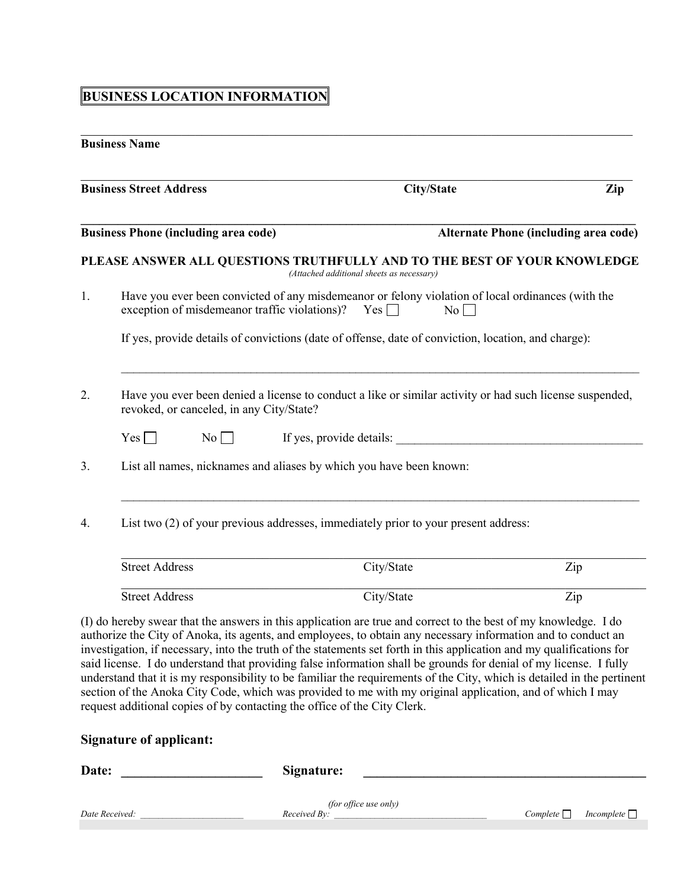## **BUSINESS LOCATION INFORMATION**

## **Business Name**

|    | <b>Business Street Address</b>              |                                                                                                                                                               | <b>City/State</b> | Zip                                                                                                      |
|----|---------------------------------------------|---------------------------------------------------------------------------------------------------------------------------------------------------------------|-------------------|----------------------------------------------------------------------------------------------------------|
|    | <b>Business Phone (including area code)</b> |                                                                                                                                                               |                   | <b>Alternate Phone (including area code)</b>                                                             |
|    |                                             | (Attached additional sheets as necessary)                                                                                                                     |                   | PLEASE ANSWER ALL QUESTIONS TRUTHFULLY AND TO THE BEST OF YOUR KNOWLEDGE                                 |
| 1. |                                             | Have you ever been convicted of any misdemeanor or felony violation of local ordinances (with the<br>exception of misdemeanor traffic violations)? Yes $\Box$ | No                |                                                                                                          |
|    |                                             | If yes, provide details of convictions (date of offense, date of conviction, location, and charge):                                                           |                   |                                                                                                          |
| 2. | revoked, or canceled, in any City/State?    |                                                                                                                                                               |                   | Have you ever been denied a license to conduct a like or similar activity or had such license suspended, |
|    | Yes<br>No                                   | If yes, provide details:                                                                                                                                      |                   |                                                                                                          |
| 3. |                                             | List all names, nicknames and aliases by which you have been known:                                                                                           |                   |                                                                                                          |
| 4. |                                             | List two (2) of your previous addresses, immediately prior to your present address:                                                                           |                   |                                                                                                          |
|    | <b>Street Address</b>                       |                                                                                                                                                               | City/State        | Zip                                                                                                      |
|    | <b>Street Address</b>                       |                                                                                                                                                               | City/State        | Zip                                                                                                      |

\_\_\_\_\_\_\_\_\_\_\_\_\_\_\_\_\_\_\_\_\_\_\_\_\_\_\_\_\_\_\_\_\_\_\_\_\_\_\_\_\_\_\_\_\_\_\_\_\_\_\_\_\_\_\_\_\_\_\_\_\_\_\_\_\_\_\_\_\_\_\_\_\_\_\_\_\_\_\_\_\_\_

(I) do hereby swear that the answers in this application are true and correct to the best of my knowledge. I do authorize the City of Anoka, its agents, and employees, to obtain any necessary information and to conduct an investigation, if necessary, into the truth of the statements set forth in this application and my qualifications for said license. I do understand that providing false information shall be grounds for denial of my license. I fully understand that it is my responsibility to be familiar the requirements of the City, which is detailed in the pertinent section of the Anoka City Code, which was provided to me with my original application, and of which I may request additional copies of by contacting the office of the City Clerk.

## **Signature of applicant:**

| Date:          | Signature:                            |                    |            |
|----------------|---------------------------------------|--------------------|------------|
|                |                                       |                    |            |
| Date Received: | (for office use only)<br>Received By: | $Complete \square$ | Incomplete |
|                |                                       |                    |            |
|                |                                       |                    |            |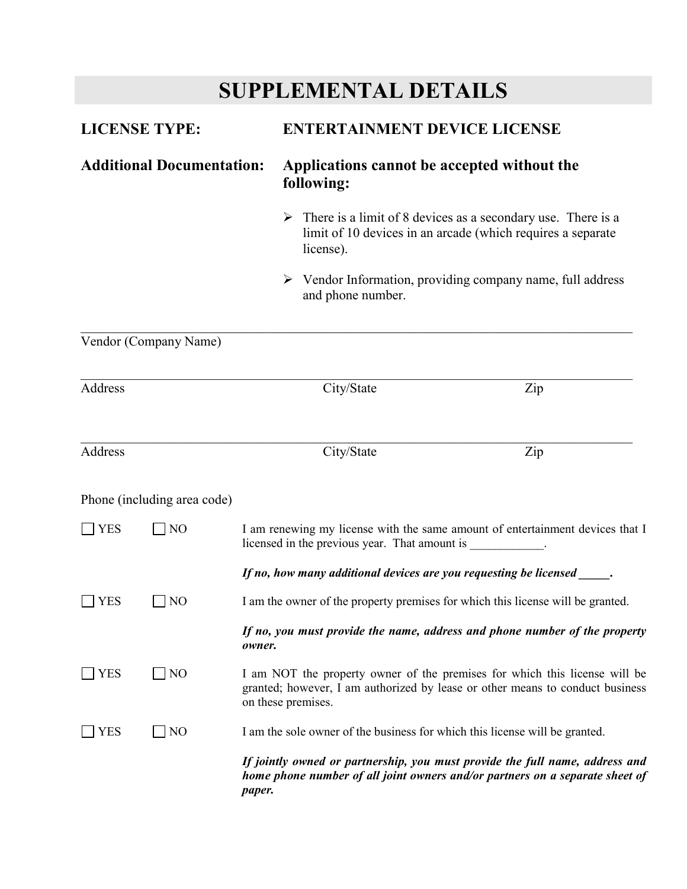# **SUPPLEMENTAL DETAILS**

| <b>LICENSE TYPE:</b>                                                                                   |                             |                                                                                                                                                                                   | <b>ENTERTAINMENT DEVICE LICENSE</b>                                                                                                                                                                      |  |  |
|--------------------------------------------------------------------------------------------------------|-----------------------------|-----------------------------------------------------------------------------------------------------------------------------------------------------------------------------------|----------------------------------------------------------------------------------------------------------------------------------------------------------------------------------------------------------|--|--|
| <b>Additional Documentation:</b>                                                                       |                             | following:                                                                                                                                                                        | Applications cannot be accepted without the<br>$\triangleright$ There is a limit of 8 devices as a secondary use. There is a<br>limit of 10 devices in an arcade (which requires a separate<br>license). |  |  |
|                                                                                                        |                             |                                                                                                                                                                                   |                                                                                                                                                                                                          |  |  |
|                                                                                                        |                             | and phone number.                                                                                                                                                                 | $\triangleright$ Vendor Information, providing company name, full address                                                                                                                                |  |  |
|                                                                                                        | Vendor (Company Name)       |                                                                                                                                                                                   |                                                                                                                                                                                                          |  |  |
| Address                                                                                                |                             | City/State                                                                                                                                                                        | Zip                                                                                                                                                                                                      |  |  |
| Address                                                                                                |                             | City/State                                                                                                                                                                        | Zip                                                                                                                                                                                                      |  |  |
|                                                                                                        | Phone (including area code) |                                                                                                                                                                                   |                                                                                                                                                                                                          |  |  |
| $\Box$ YES                                                                                             | N <sub>O</sub>              | licensed in the previous year. That amount is ____________.                                                                                                                       | I am renewing my license with the same amount of entertainment devices that I                                                                                                                            |  |  |
|                                                                                                        |                             | If no, how many additional devices are you requesting be licensed _____.                                                                                                          |                                                                                                                                                                                                          |  |  |
| I am the owner of the property premises for which this license will be granted.<br>NO<br>$\vert$   YES |                             |                                                                                                                                                                                   |                                                                                                                                                                                                          |  |  |
|                                                                                                        |                             | If no, you must provide the name, address and phone number of the property<br>owner.                                                                                              |                                                                                                                                                                                                          |  |  |
| <b>YES</b>                                                                                             | N <sub>O</sub>              | I am NOT the property owner of the premises for which this license will be<br>granted; however, I am authorized by lease or other means to conduct business<br>on these premises. |                                                                                                                                                                                                          |  |  |
| YES                                                                                                    | N <sub>O</sub>              | I am the sole owner of the business for which this license will be granted.                                                                                                       |                                                                                                                                                                                                          |  |  |
|                                                                                                        |                             | paper.                                                                                                                                                                            | If jointly owned or partnership, you must provide the full name, address and<br>home phone number of all joint owners and/or partners on a separate sheet of                                             |  |  |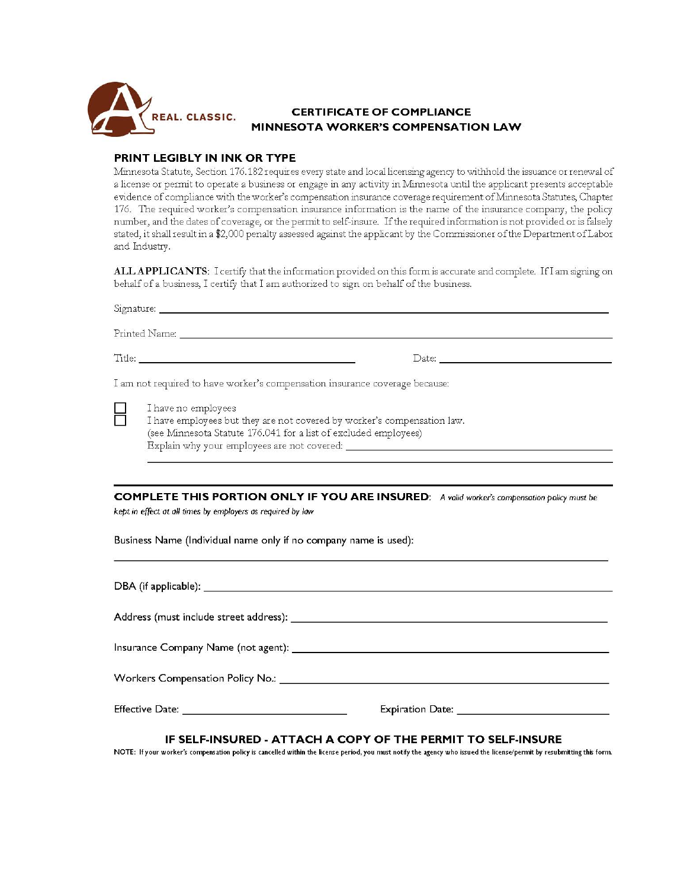

## **CERTIFICATE OF COMPLIANCE MINNESOTA WORKER'S COMPENSATION LAW**

## PRINT LEGIBLY IN INK OR TYPE

Minnesota Statute, Section 176.182 requires every state and local licensing agency to withhold the issuance or renewal of a license or permit to operate a business or engage in any activity in Minnesota until the applicant presents acceptable evidence of compliance with the worker's compensation insurance coverage requirement of Minnesota Statutes, Chapter 176. The required worker's compensation insurance information is the name of the insurance company, the policy number, and the dates of coverage, or the permit to self-insure. If the required information is not provided or is falsely stated, it shall result in a \$2,000 penalty assessed against the applicant by the Commissioner of the Department of Labor and Industry.

ALL APPLICANTS: I certify that the information provided on this form is accurate and complete. If I am signing on behalf of a business, I certify that I am authorized to sign on behalf of the business.

| Signature: Signature: Signature: Signature: Signature: Signature: Signature: Signature: Signature: Signature: Signature: Signature: Signature: Signature: Signature: Signature: Signature: Signature: Signature: Signature: Si |  |  |
|--------------------------------------------------------------------------------------------------------------------------------------------------------------------------------------------------------------------------------|--|--|
|                                                                                                                                                                                                                                |  |  |
|                                                                                                                                                                                                                                |  |  |
| I am not required to have worker's compensation insurance coverage because:                                                                                                                                                    |  |  |
| I have no employees<br>I have employees but they are not covered by worker's compensation law.<br>(see Minnesota Statute 176.041 for a list of excluded employees)                                                             |  |  |
| <b>COMPLETE THIS PORTION ONLY IF YOU ARE INSURED:</b> A valid worker's compensation policy must be<br>kept in effect at all times by employers as required by law                                                              |  |  |
| Business Name (Individual name only if no company name is used):                                                                                                                                                               |  |  |
|                                                                                                                                                                                                                                |  |  |
|                                                                                                                                                                                                                                |  |  |
| Insurance Company Name (not agent): <b>Example 2018</b> 2019 2019 2021 2022 2023 2024 2022 2023 2024 2022 2023 2024 20                                                                                                         |  |  |

#### IF SELF-INSURED - ATTACH A COPY OF THE PERMIT TO SELF-INSURE

NOTE: If your worker's compensation policy is cancelled within the license period, you must notify the agency who issued the license/permit by resubmitting this form.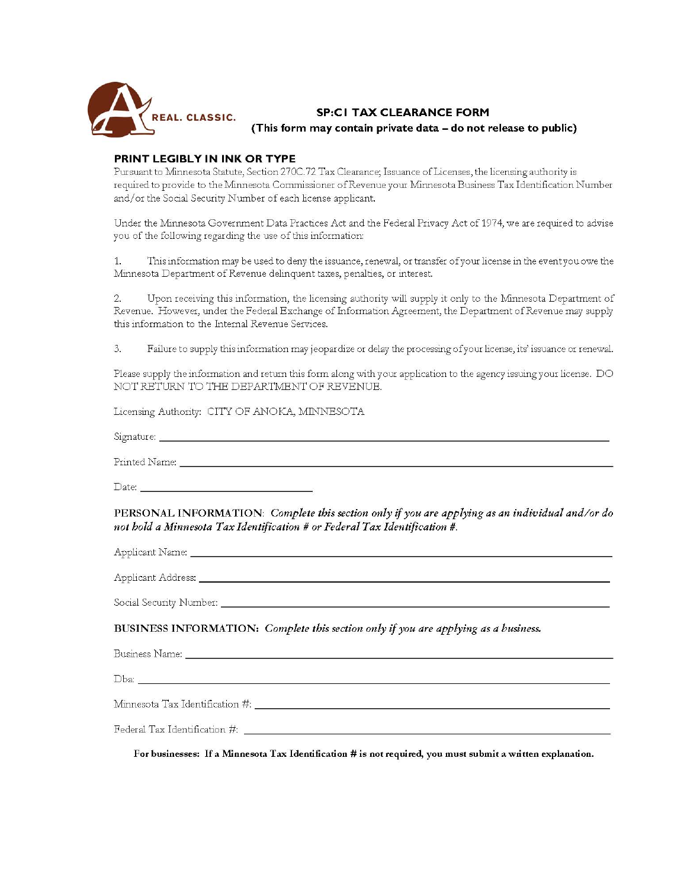

**SP:CI TAX CLEARANCE FORM** (This form may contain private data - do not release to public)

## PRINT LEGIBLY IN INK OR TYPE

Pursuant to Minnesota Statute, Section 270C.72 Tax Clearance; Issuance of Licenses, the licensing authority is required to provide to the Minnesota Commissioner of Revenue your Minnesota Business Tax Identification Number and/or the Social Security Number of each license applicant.

Under the Minnesota Government Data Practices Act and the Federal Privacy Act of 1974, we are required to advise you of the following regarding the use of this information:

 $\mathbf{1}$ . This information may be used to deny the issuance, renewal, or transfer of your license in the event you owe the Minnesota Department of Revenue delinquent taxes, penalties, or interest.

Upon receiving this information, the licensing authority will supply it only to the Minnesota Department of  $2.$ Revenue. However, under the Federal Exchange of Information Agreement, the Department of Revenue may supply this information to the Internal Revenue Services.

 $\overline{3}$ Failure to supply this information may jeopardize or delay the processing of your license, its' issuance or renewal.

Please supply the information and return this form along with your application to the agency issuing your license. DO NOT RETURN TO THE DEPARTMENT OF REVENUE.

Licensing Authority: CITY OF ANOKA, MINNESOTA

Signature: <u>2000 - 2000 - 2000 - 2000 - 2000 - 2000 - 2000 - 2000 - 2000 - 2000 - 2000 - 2000 - 2000 - 2000 - 2000 - 2000 - 2000 - 2000 - 2000 - 2000 - 2000 - 2000 - 2000 - 2000 - 2000 - 2000 - 2000 - 2000 - 2000 - 2000 - </u>

Date:

PERSONAL INFORMATION: Complete this section only if you are applying as an individual and/or do not bold a Minnesota Tax Identification # or Federal Tax Identification #.

Applicant Address: \_\_\_\_\_\_\_\_\_\_

BUSINESS INFORMATION: Complete this section only if you are applying as a business.

Business Name: \_\_\_\_\_\_\_\_\_\_\_\_\_\_\_\_

For businesses: If a Minnesota Tax Identification # is not required, you must submit a written explanation.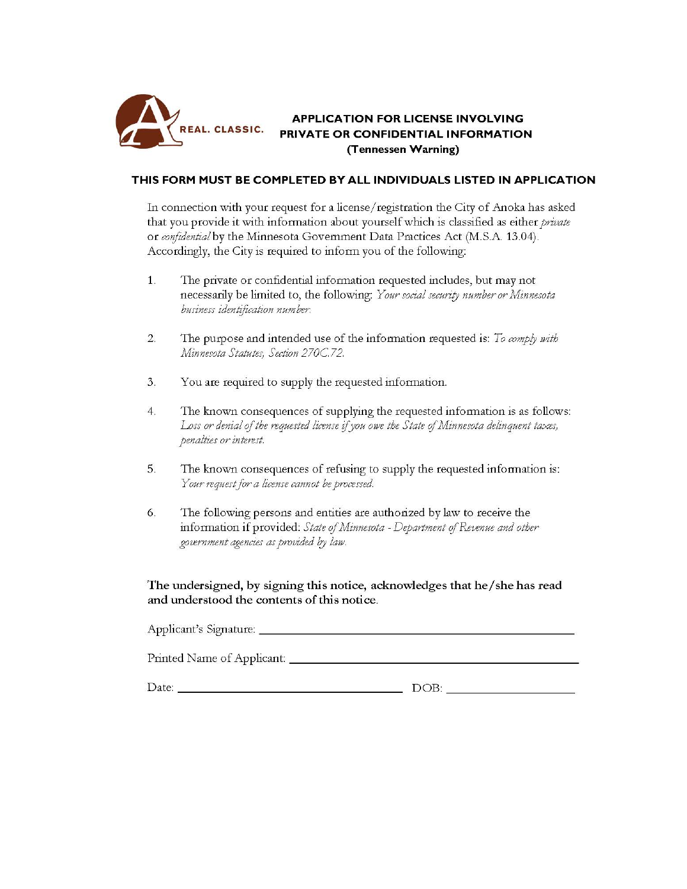

## **APPLICATION FOR LICENSE INVOLVING** PRIVATE OR CONFIDENTIAL INFORMATION (Tennessen Warning)

## THIS FORM MUST BE COMPLETED BY ALL INDIVIDUALS LISTED IN APPLICATION

In connection with your request for a license/registration the City of Anoka has asked that you provide it with information about yourself which is classified as either private or confidential by the Minnesota Government Data Practices Act (M.S.A. 13.04). Accordingly, the City is required to inform you of the following:

- 1. The private or confidential information requested includes, but may not necessarily be limited to, the following: Your social security number or Minnesota business identification number.
- 2. The purpose and intended use of the information requested is: To comply with Minnesota Statutes, Section 270C.72.
- 3. You are required to supply the requested information.
- $4.$ The known consequences of supplying the requested information is as follows: Loss or denial of the requested license if you owe the State of Minnesota delinquent taxes, penalties or interest.
- 5. The known consequences of refusing to supply the requested information is: Your request for a license cannot be processed.
- 6. The following persons and entities are authorized by law to receive the information if provided: State of Minnesota - Department of Revenue and other government agencies as provided by law.

The undersigned, by signing this notice, acknowledges that he/she has read and understood the contents of this notice.

| Applicant's Signature:     |      |
|----------------------------|------|
| Printed Name of Applicant: |      |
| Date:                      | DOB: |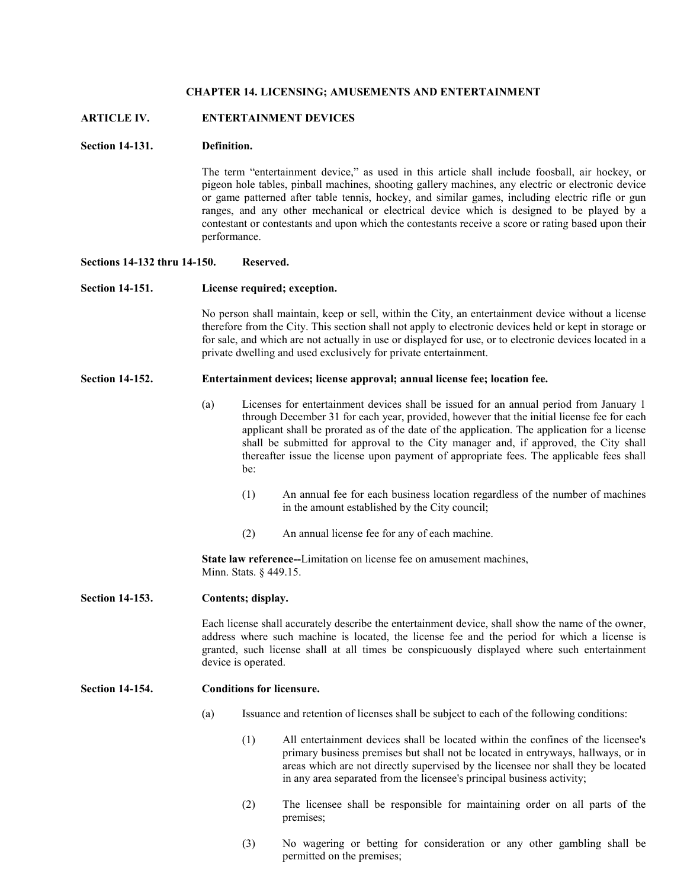#### **CHAPTER 14. LICENSING; AMUSEMENTS AND ENTERTAINMENT**

## **ARTICLE IV. ENTERTAINMENT DEVICES**

#### **Section 14-131. Definition.**

The term "entertainment device," as used in this article shall include foosball, air hockey, or pigeon hole tables, pinball machines, shooting gallery machines, any electric or electronic device or game patterned after table tennis, hockey, and similar games, including electric rifle or gun ranges, and any other mechanical or electrical device which is designed to be played by a contestant or contestants and upon which the contestants receive a score or rating based upon their performance.

## **Sections 14-132 thru 14-150. Reserved.**

#### **Section 14-151. License required; exception.**

No person shall maintain, keep or sell, within the City, an entertainment device without a license therefore from the City. This section shall not apply to electronic devices held or kept in storage or for sale, and which are not actually in use or displayed for use, or to electronic devices located in a private dwelling and used exclusively for private entertainment.

#### **Section 14-152. Entertainment devices; license approval; annual license fee; location fee.**

- (a) Licenses for entertainment devices shall be issued for an annual period from January 1 through December 31 for each year, provided, however that the initial license fee for each applicant shall be prorated as of the date of the application. The application for a license shall be submitted for approval to the City manager and, if approved, the City shall thereafter issue the license upon payment of appropriate fees. The applicable fees shall be:
	- (1) An annual fee for each business location regardless of the number of machines in the amount established by the City council;
	- (2) An annual license fee for any of each machine.

**State law reference--**Limitation on license fee on amusement machines, Minn. Stats. § 449.15.

## **Section 14-153. Contents; display.**

Each license shall accurately describe the entertainment device, shall show the name of the owner, address where such machine is located, the license fee and the period for which a license is granted, such license shall at all times be conspicuously displayed where such entertainment device is operated.

#### **Section 14-154. Conditions for licensure.**

- (a) Issuance and retention of licenses shall be subject to each of the following conditions:
	- (1) All entertainment devices shall be located within the confines of the licensee's primary business premises but shall not be located in entryways, hallways, or in areas which are not directly supervised by the licensee nor shall they be located in any area separated from the licensee's principal business activity;
	- (2) The licensee shall be responsible for maintaining order on all parts of the premises;
	- (3) No wagering or betting for consideration or any other gambling shall be permitted on the premises;